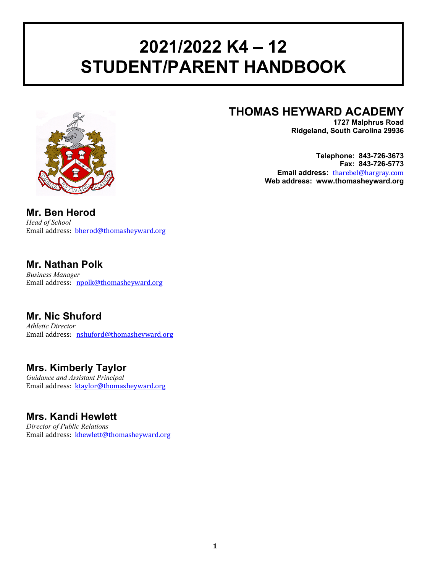# **2021/2022 K4 – 12 STUDENT/PARENT HANDBOOK**



## **THOMAS HEYWARD ACADEMY**

**1727 Malphrus Road Ridgeland, South Carolina 29936**

**Telephone: 843-726-3673 Fax: 843-726-5773 Email address:** tharebel@hargray.com **Web address: www.thomasheyward.org**

**Mr. Ben Herod** *Head of School* Email address: **bherod@thomasheyward.org** 

### **Mr. Nathan Polk**

*Business Manager* Email address: npolk@thomasheyward.org

### **Mr. Nic Shuford**

*Athletic Director* Email address: nshuford@thomasheyward.org

### **Mrs. Kimberly Taylor**

*Guidance and Assistant Principal* Email address: ktaylor@thomasheyward.org

### **Mrs. Kandi Hewlett**

*Director of Public Relations* Email address: khewlett@thomasheyward.org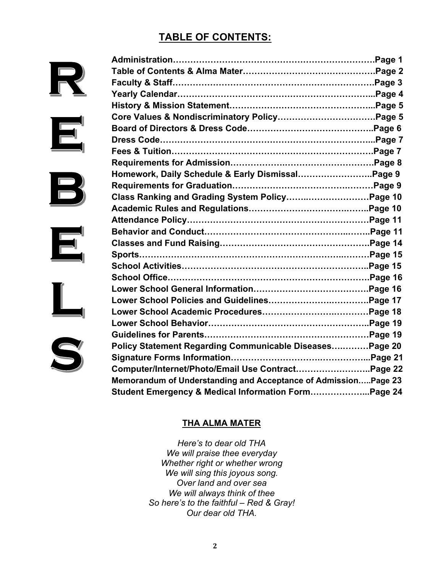### **TABLE OF CONTENTS:**



| Homework, Daily Schedule & Early DismissalPage 9               |  |
|----------------------------------------------------------------|--|
|                                                                |  |
|                                                                |  |
|                                                                |  |
|                                                                |  |
|                                                                |  |
|                                                                |  |
| Sports………………………………………………………………………Page 15                       |  |
|                                                                |  |
|                                                                |  |
|                                                                |  |
|                                                                |  |
|                                                                |  |
|                                                                |  |
|                                                                |  |
| Policy Statement Regarding Communicable Diseases Page 20       |  |
|                                                                |  |
| Computer/Internet/Photo/Email Use ContractPage 22              |  |
| Memorandum of Understanding and Acceptance of AdmissionPage 23 |  |
| Student Emergency & Medical Information Form Page 24           |  |

### **THA ALMA MATER**

*Here's to dear old THA We will praise thee everyday Whether right or whether wrong We will sing this joyous song. Over land and over sea We will always think of thee So here's to the faithful – Red & Gray! Our dear old THA.*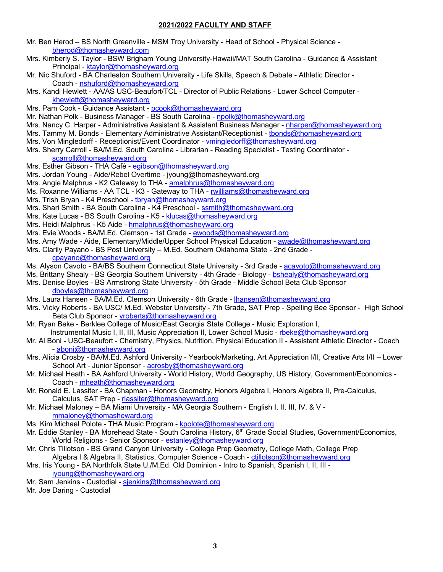#### **2021/2022 FACULTY AND STAFF**

- Mr. Ben Herod BS North Greenville MSM Troy University Head of School Physical Science bherod@thomasheyward.com
- Mrs. Kimberly S. Taylor BSW Brigham Young University-Hawaii/MAT South Carolina Guidance & Assistant Principal - ktaylor@thomasheyward.org
- Mr. Nic Shuford BA Charleston Southern University Life Skills, Speech & Debate Athletic Director Coach - nshuford@thomasheyward.org
- Mrs. Kandi Hewlett AA/AS USC-Beaufort/TCL Director of Public Relations Lower School Computer khewlett@thomasheyward.org
- Mrs. Pam Cook Guidance Assistant pcook@thomasheyward.org
- Mr. Nathan Polk Business Manager BS South Carolina npolk@thomasheyward.org
- Mrs. Nancy C. Harper Administrative Assistant & Assistant Business Manager nharper@thomasheyward.org
- Mrs. Tammy M. Bonds Elementary Administrative Assistant/Receptionist tbonds@thomasheyward.org
- Mrs. Von Mingledorff Receptionist/Event Coordinator vmingledorff@thomasheyward.org
- Mrs. Sherry Carroll BA/M.Ed. South Carolina Librarian Reading Specialist Testing Coordinator scarroll@thomasheyward.org
- Mrs. Esther Gibson THA Café egibson@thomasheyward.org
- Mrs. Jordan Young Aide/Rebel Overtime jyoung@thomasheyward.org
- Mrs. Angie Malphrus K2 Gateway to THA amalphrus@thomasheyward.org
- Ms. Roxanne Williams AA TCL K3 Gateway to THA rwilliams@thomasheyward.org
- Mrs. Trish Bryan K4 Preschool tbryan@thomasheyward.org
- Mrs. Shari Smith BA South Carolina K4 Preschool ssmith@thomasheyward.org
- Mrs. Kate Lucas BS South Carolina K5 klucas@thomasheyward.org
- Mrs. Heidi Malphrus K5 Aide hmalphrus@thomasheyward.org
- Mrs. Evie Woods BA/M.Ed. Clemson 1st Grade ewoods@thomasheyward.org
- Mrs. Amy Wade Aide, Elementary/Middle/Upper School Physical Education awade@thomasheyward.org
- Mrs. Clarily Payano BS Post University M.Ed. Southern Oklahoma State 2nd Grade cpayano@thomasheyward.org
- Ms. Alyson Cavoto BA/BS Southern Connecticut State University 3rd Grade acavoto@thomasheyward.org
- Ms. Brittany Shealy BS Georgia Southern University 4th Grade Biology bshealy@thomasheyward.org
- Mrs. Denise Boyles BS Armstrong State University 5th Grade Middle School Beta Club Sponsor dboyles@thomasheyward.org
- Mrs. Laura Hansen BA/M.Ed. Clemson University 6th Grade lhansen@thomasheyward.org
- Mrs. Vicky Roberts BA USC/ M.Ed. Webster University 7th Grade, SAT Prep Spelling Bee Sponsor High School Beta Club Sponsor - vroberts@thomasheyward.org
- Mr. Ryan Beke Berklee College of Music/East Georgia State College Music Exploration I, Instrumental Music I, II, III, Music Appreciation II, Lower School Music - rbeke@thomasheyward.org
- Mr. Al Boni USC-Beaufort Chemistry, Physics, Nutrition, Physical Education II Assistant Athletic Director Coach - aboni@thomasheyward.org
- Mrs. Alicia Crosby BA/M.Ed. Ashford University Yearbook/Marketing, Art Appreciation I/II, Creative Arts I/II Lower School Art - Junior Sponsor - acrosby@thomasheyward.org
- Mr. Michael Heath BA Ashford University World History, World Geography, US History, Government/Economics Coach - mheath@thomasheyward.org
- Mr. Ronald E. Lassiter BA Chapman Honors Geometry, Honors Algebra I, Honors Algebra II, Pre-Calculus, Calculus, SAT Prep - rlassiter@thomasheyward.org
- Mr. Michael Maloney BA Miami University MA Georgia Southern English I, II, III, IV, & V mmaloney@thomasheward.org
- Ms. Kim Michael Polote THA Music Program kpolote@thomasheyward.org
- Mr. Eddie Stanley BA Morehead State South Carolina History, 6<sup>th</sup> Grade Social Studies, Government/Economics, World Religions - Senior Sponsor - estanley@thomasheyward.org
- Mr. Chris Tillotson BS Grand Canyon University College Prep Geometry, College Math, College Prep
- Algebra I & Algebra II, Statistics, Computer Science Coach ctillotson@thomasheyward.org Mrs. Iris Young - BA Northfolk State U./M.Ed. Old Dominion - Intro to Spanish, Spanish I, II, III -

iyoung@thomasheyward.org

Mr. Sam Jenkins - Custodial - sjenkins@thomasheyward.org

Mr. Joe Daring - Custodial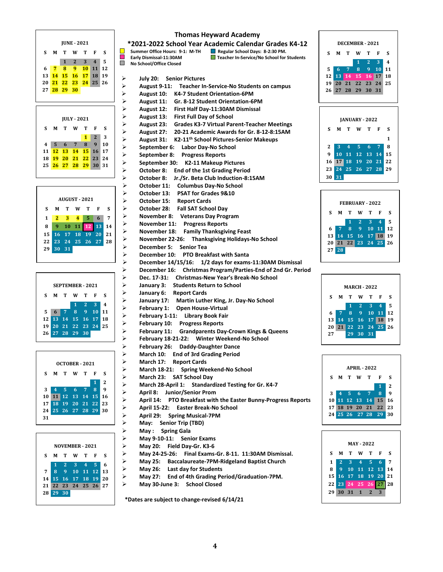



```
SEPTEMBER - 2021
S M T W T F S
           1 2 3 4
5 6 7 8 9 10 11
12 13 14 15 16 17 18
19 20 21 22 23 24 25
26 27 28 29 30
```


| <b>NOVEMBER - 2021</b> |    |      |                                                                                        |  |     |
|------------------------|----|------|----------------------------------------------------------------------------------------|--|-----|
| S                      | М  |      | TWTF                                                                                   |  | - S |
|                        |    |      |                                                                                        |  |     |
| 7                      |    |      | $\begin{array}{cccccc} 1 & 2 & 3 & 4 & 5 & 6 \\ 8 & 9 & 10 & 11 & 12 & 13 \end{array}$ |  |     |
|                        |    |      | 14 15 16 17 18 19 20                                                                   |  |     |
|                        |    |      | 21 22 23 24 25 26 27                                                                   |  |     |
| 28                     | 29 | - 30 |                                                                                        |  |     |
|                        |    |      |                                                                                        |  |     |

#### **Thomas Heyward Academy**

**\*2021-2022 School Year Academic Calendar Grades K4-12**<br>
Summer Office Hours: 9-1: M-TH Regular School Days: 8-2:30 PM.<br>
Exarly Dismissal-11:30AM **D** Teacher In-Service/No School for Students **E** Early Dismissal-11:30AM **Teacher In-Service/No School for Students**<br>
No School/Office Closed  **No School/Office Closed**

➢ **July 20: Senior Pictures**

- ➢ **August 9-11: Teacher In-Service-No Students on campus**
- ➢ **August 10: K4-7 Student Orientation-6PM** ➢ **August 11: Gr. 8-12 Student Orientation-6PM**
- ➢ **August 12: First Half Day-11:30AM Dismissal**
	-
- ➢ **August 13: First Full Day of School** ➢ **August 23: Grades K3-7 Virtual Parent-Teacher Meetings**
- ➢ **August 27: 20-21 Academic Awards for Gr. 8-12-8:15AM**
- ➢ **August 31: K2-11th School Pictures-Senior Makeups**
- ➢ **September 6: Labor Day-No School**
- ➢ **September 8: Progress Reports**
- ➢ **September 30: K2-11 Makeup Pictures**
- ➢ **October 8: End of the 1st Grading Period** ➢ **October 8: Jr./Sr. Beta Club Induction-8:15AM**
	-
- ➢ **October 11: Columbus Day-No School**
- ➢ **October 13: PSAT for Grades 9&10**
- ➢ **October 15: Report Cards**
- ➢ **October 28: Fall SAT School Day**
- ➢ **November 8: Veterans Day Program**
- ➢ **November 11: Progress Reports**
- ➢ **November 18: Family Thanksgiving Feast**
- ➢ **November 22-26: Thanksgiving Holidays-No School**
- ➢ **December 5: Senior Tea**
- ➢ **December 10: PTO Breakfast with Santa**
	- ➢ **December 14/15/16: 1/2 days for exams-11:30AM Dismissal**
- ➢ **December 16: Christmas Program/Parties-End of 2nd Gr. Period**
- ➢ **Dec. 17-31: Christmas-New Year's Break-No School** 
	- ➢ **January 3: Students Return to School**
- ➢ **January 6: Report Cards**
- ➢ **January 17: Martin Luther King, Jr. Day-No School**
- ➢ **February 1: Open House-Virtual**
- ➢ **February 1-11: Library Book Fair**
- ➢ **February 10: Progress Reports**
- ➢ **February 11: Grandparents Day-Crown Kings & Queens** 
	- ➢ **February 18-21-22: Winter Weekend-No School**
- ➢ **February 26: Daddy-Daughter Dance**
- ➢ **March 10: End of 3rd Grading Period**
- ➢ **March 17: Report Cards** ➢ **March 18-21: Spring Weekend-No School**
- ➢ **March 23: SAT School Day**
	-
- ➢ **March 28-April 1: Standardized Testing for Gr. K4-7** 
	- ➢ **April 8: Junior/Senior Prom**
- ➢ **April 14: PTO Breakfast with the Easter Bunny-Progress Reports**
- ➢ **April 15-22: Easter Break-No School**
- ➢ **April 29: Spring Musical-7PM**
- ➢ **May: Senior Trip (TBD)**
- ➢ **May : Spring Gala**
- ➢ **May 9-10-11: Senior Exams**
- ➢ **May 20: Field Day-Gr. K3-6**
	- ➢ **May 24-25-26: Final Exams-Gr. 8-11. 11:30AM Dismissal.**
- ➢ **May 25: Baccalaureate-7PM-Ridgeland Baptist Church**
- ➢ **May 26: Last day for Students**
- ➢ **May 27: End of 4th Grading Period/Graduation-7PM.**
- ➢ **May 30-June 3: School Closed**

 **\*Dates are subject to change-revised 6/14/21**







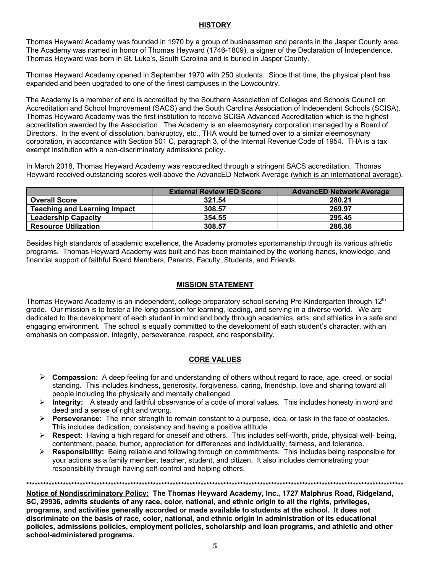#### **HISTORY**

Thomas Heyward Academy was founded in 1970 by a group of businessmen and parents in the Jasper County area. The Academy was named in honor of Thomas Heyward (1746-1809), a signer of the Declaration of Independence. Thomas Heyward was born in St. Luke's, South Carolina and is buried in Jasper County.

Thomas Heyward Academy opened in September 1970 with 250 students. Since that time, the physical plant has expanded and been upgraded to one of the finest campuses in the Lowcountry.

The Academy is a member of and is accredited by the Southern Association of Colleges and Schools Council on Accreditation and School Improvement (SACS) and the South Carolina Association of Independent Schools (SCISA). Thomas Heyward Academy was the first institution to receive SCISA Advanced Accreditation which is the highest accreditation awarded by the Association. The Academy is an eleemosynary corporation managed by a Board of Directors. In the event of dissolution, bankruptcy, etc., THA would be turned over to a similar eleemosynary corporation, in accordance with Section 501 C, paragraph 3, of the Internal Revenue Code of 1954. THA is a tax exempt institution with a non-discriminatory admissions policy.

In March 2018, Thomas Heyward Academy was reaccredited through a stringent SACS accreditation. Thomas Heyward received outstanding scores well above the AdvancED Network Average (which is an international average).

|                                     | <b>External Review IEQ Score</b> | <b>AdvancED Network Average</b> |
|-------------------------------------|----------------------------------|---------------------------------|
| <b>Overall Score</b>                | 321.54                           | 280.21                          |
| <b>Teaching and Learning Impact</b> | 308.57                           | 269.97                          |
| <b>Leadership Capacity</b>          | 354.55                           | 295.45                          |
| <b>Resource Utilization</b>         | 308.57                           | 286.36                          |

Besides high standards of academic excellence, the Academy promotes sportsmanship through its various athletic programs. Thomas Heyward Academy was built and has been maintained by the working hands, knowledge, and financial support of faithful Board Members, Parents, Faculty, Students, and Friends.

#### **MISSION STATEMENT**

Thomas Heyward Academy is an independent, college preparatory school serving Pre-Kindergarten through 12<sup>th</sup> grade. Our mission is to foster a life-long passion for learning, leading, and serving in a diverse world. We are dedicated to the development of each student in mind and body through academics, arts, and athletics in a safe and engaging environment. The school is equally committed to the development of each student's character, with an emphasis on compassion, integrity, perseverance, respect, and responsibility.

#### **CORE VALUES**

- Ø **Compassion:** A deep feeling for and understanding of others without regard to race, age, creed, or social standing. This includes kindness, generosity, forgiveness, caring, friendship, love and sharing toward all people including the physically and mentally challenged.
- Ø **Integrity:** A steady and faithful observance of a code of moral values. This includes honesty in word and deed and a sense of right and wrong.
- Ø **Perseverance:** The inner strength to remain constant to a purpose, idea, or task in the face of obstacles. This includes dedication, consistency and having a positive attitude.
- Ø **Respect:** Having a high regard for oneself and others. This includes self-worth, pride, physical well- being, contentment, peace, humor, appreciation for differences and individuality, fairness, and tolerance.
- Ø **Responsibility:** Being reliable and following through on commitments. This includes being responsible for your actions as a family member, teacher, student, and citizen. It also includes demonstrating your responsibility through having self-control and helping others.

**\*\*\*\*\*\*\*\*\*\*\*\*\*\*\*\*\*\*\*\*\*\*\*\*\*\*\*\*\*\*\*\*\*\*\*\*\*\*\*\*\*\*\*\*\*\*\*\*\*\*\*\*\*\*\*\*\*\*\*\*\*\*\*\*\*\*\*\*\*\*\*\*\*\*\*\*\*\*\*\*\*\*\*\*\*\*\*\*\*\*\*\*\*\*\*\*\*\*\*\*\*\*\*\*\*\*\*\*\*\*\*\*\*\*\*\*\*\*\*\*\*\*\*\*\*\*\*\*\*\*\*\*\*\***

**Notice of Nondiscriminatory Policy: The Thomas Heyward Academy, Inc., 1727 Malphrus Road, Ridgeland, SC, 29936, admits students of any race, color, national, and ethnic origin to all the rights, privileges, programs, and activities generally accorded or made available to students at the school. It does not discriminate on the basis of race, color, national, and ethnic origin in administration of its educational policies, admissions policies, employment policies, scholarship and loan programs, and athletic and other school-administered programs.**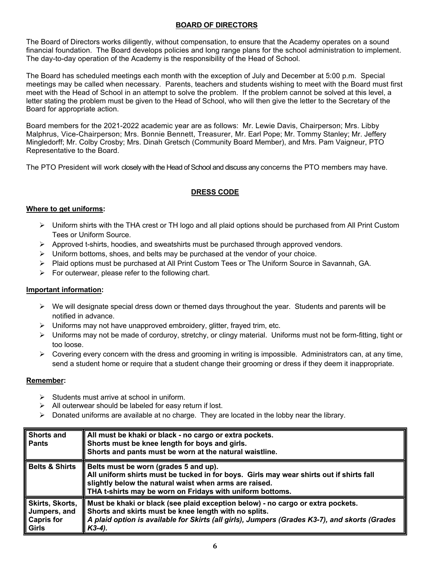#### **BOARD OF DIRECTORS**

The Board of Directors works diligently, without compensation, to ensure that the Academy operates on a sound financial foundation. The Board develops policies and long range plans for the school administration to implement. The day-to-day operation of the Academy is the responsibility of the Head of School.

The Board has scheduled meetings each month with the exception of July and December at 5:00 p.m. Special meetings may be called when necessary. Parents, teachers and students wishing to meet with the Board must first meet with the Head of School in an attempt to solve the problem. If the problem cannot be solved at this level, a letter stating the problem must be given to the Head of School, who will then give the letter to the Secretary of the Board for appropriate action.

Board members for the 2021-2022 academic year are as follows: Mr. Lewie Davis, Chairperson; Mrs. Libby Malphrus, Vice-Chairperson; Mrs. Bonnie Bennett, Treasurer, Mr. Earl Pope; Mr. Tommy Stanley; Mr. Jeffery Mingledorff; Mr. Colby Crosby; Mrs. Dinah Gretsch (Community Board Member), and Mrs. Pam Vaigneur, PTO Representative to the Board.

The PTO President will work closely with the Head of School and discuss any concerns the PTO members may have.

#### **DRESS CODE**

#### **Where to get uniforms:**

- $\triangleright$  Uniform shirts with the THA crest or TH logo and all plaid options should be purchased from All Print Custom Tees or Uniform Source.
- $\triangleright$  Approved t-shirts, hoodies, and sweatshirts must be purchased through approved vendors.
- $\triangleright$  Uniform bottoms, shoes, and belts may be purchased at the vendor of your choice.
- $\triangleright$  Plaid options must be purchased at All Print Custom Tees or The Uniform Source in Savannah, GA.
- $\triangleright$  For outerwear, please refer to the following chart.

#### **Important information:**

- $\triangleright$  We will designate special dress down or themed days throughout the year. Students and parents will be notified in advance.
- $\triangleright$  Uniforms may not have unapproved embroidery, glitter, frayed trim, etc.
- $\triangleright$  Uniforms may not be made of corduroy, stretchy, or clingy material. Uniforms must not be form-fitting, tight or too loose.
- $\triangleright$  Covering every concern with the dress and grooming in writing is impossible. Administrators can, at any time, send a student home or require that a student change their grooming or dress if they deem it inappropriate.

#### **Remember:**

- $\triangleright$  Students must arrive at school in uniform.
- $\triangleright$  All outerwear should be labeled for easy return if lost.
- $\triangleright$  Donated uniforms are available at no charge. They are located in the lobby near the library.

| Shorts and<br>∥ Pants                                                | All must be khaki or black - no cargo or extra pockets.<br>Shorts must be knee length for boys and girls.<br>Shorts and pants must be worn at the natural waistline.                                                                                    |
|----------------------------------------------------------------------|---------------------------------------------------------------------------------------------------------------------------------------------------------------------------------------------------------------------------------------------------------|
| ∥ Belts & Shirts                                                     | Belts must be worn (grades 5 and up).<br>All uniform shirts must be tucked in for boys. Girls may wear shirts out if shirts fall<br>slightly below the natural waist when arms are raised.<br>THA t-shirts may be worn on Fridays with uniform bottoms. |
| Skirts, Skorts,<br>Jumpers, and<br><b>Capris for</b><br><b>Girls</b> | Must be khaki or black (see plaid exception below) - no cargo or extra pockets.<br>Shorts and skirts must be knee length with no splits.<br>A plaid option is available for Skirts (all girls), Jumpers (Grades K3-7), and skorts (Grades<br>K3-4).     |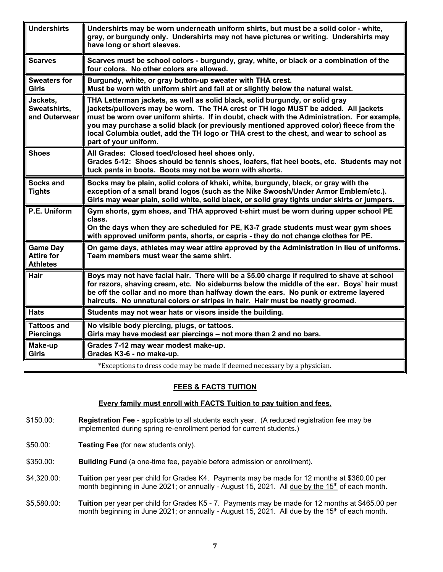| <b>Undershirts</b>                                      | Undershirts may be worn underneath uniform shirts, but must be a solid color - white,<br>gray, or burgundy only. Undershirts may not have pictures or writing. Undershirts may<br>have long or short sleeves.                                                                                                                                                                                                                                                                   |
|---------------------------------------------------------|---------------------------------------------------------------------------------------------------------------------------------------------------------------------------------------------------------------------------------------------------------------------------------------------------------------------------------------------------------------------------------------------------------------------------------------------------------------------------------|
| <b>Scarves</b>                                          | Scarves must be school colors - burgundy, gray, white, or black or a combination of the<br>four colors. No other colors are allowed.                                                                                                                                                                                                                                                                                                                                            |
| <b>Sweaters for</b><br><b>Girls</b>                     | Burgundy, white, or gray button-up sweater with THA crest.<br>Must be worn with uniform shirt and fall at or slightly below the natural waist.                                                                                                                                                                                                                                                                                                                                  |
| Jackets,<br>Sweatshirts,<br>and Outerwear               | THA Letterman jackets, as well as solid black, solid burgundy, or solid gray<br>jackets/pullovers may be worn. The THA crest or TH logo MUST be added. All jackets<br>must be worn over uniform shirts. If in doubt, check with the Administration. For example,<br>you may purchase a solid black (or previously mentioned approved color) fleece from the<br>local Columbia outlet, add the TH logo or THA crest to the chest, and wear to school as<br>part of your uniform. |
| <b>Shoes</b>                                            | All Grades: Closed toed/closed heel shoes only.<br>Grades 5-12: Shoes should be tennis shoes, loafers, flat heel boots, etc. Students may not<br>tuck pants in boots. Boots may not be worn with shorts.                                                                                                                                                                                                                                                                        |
| <b>Socks and</b><br><b>Tights</b>                       | Socks may be plain, solid colors of khaki, white, burgundy, black, or gray with the<br>exception of a small brand logos (such as the Nike Swoosh/Under Armor Emblem/etc.).<br>Girls may wear plain, solid white, solid black, or solid gray tights under skirts or jumpers.                                                                                                                                                                                                     |
| P.E. Uniform                                            | Gym shorts, gym shoes, and THA approved t-shirt must be worn during upper school PE<br>class.<br>On the days when they are scheduled for PE, K3-7 grade students must wear gym shoes<br>with approved uniform pants, shorts, or capris - they do not change clothes for PE.                                                                                                                                                                                                     |
| <b>Game Day</b><br><b>Attire for</b><br><b>Athletes</b> | On game days, athletes may wear attire approved by the Administration in lieu of uniforms.<br>Team members must wear the same shirt.                                                                                                                                                                                                                                                                                                                                            |
| <b>Hair</b>                                             | Boys may not have facial hair. There will be a \$5.00 charge if required to shave at school<br>for razors, shaving cream, etc. No sideburns below the middle of the ear. Boys' hair must<br>be off the collar and no more than halfway down the ears. No punk or extreme layered<br>haircuts. No unnatural colors or stripes in hair. Hair must be neatly groomed.                                                                                                              |
| <b>Hats</b>                                             | Students may not wear hats or visors inside the building.                                                                                                                                                                                                                                                                                                                                                                                                                       |
| <b>Tattoos and</b><br><b>Piercings</b>                  | No visible body piercing, plugs, or tattoos.<br>Girls may have modest ear piercings - not more than 2 and no bars.                                                                                                                                                                                                                                                                                                                                                              |
| Make-up<br><b>Girls</b>                                 | Grades 7-12 may wear modest make-up.<br>Grades K3-6 - no make-up.                                                                                                                                                                                                                                                                                                                                                                                                               |
|                                                         | *Exceptions to dress code may be made if deemed necessary by a physician.                                                                                                                                                                                                                                                                                                                                                                                                       |

#### **FEES & FACTS TUITION**

#### **Every family must enroll with FACTS Tuition to pay tuition and fees.**

- \$150.00: **Registration Fee** applicable to all students each year. (A reduced registration fee may be implemented during spring re-enrollment period for current students.)
- \$50.00: **Testing Fee** (for new students only).
- \$350.00: **Building Fund** (a one-time fee, payable before admission or enrollment).
- \$4,320.00: **Tuition** per year per child for Grades K4. Payments may be made for 12 months at \$360.00 per month beginning in June 2021; or annually - August 15, 2021. All due by the 15<sup>th</sup> of each month.
- \$5,580.00: **Tuition** per year per child for Grades K5 7. Payments may be made for 12 months at \$465.00 per month beginning in June 2021; or annually - August 15, 2021. All due by the 15<sup>th</sup> of each month.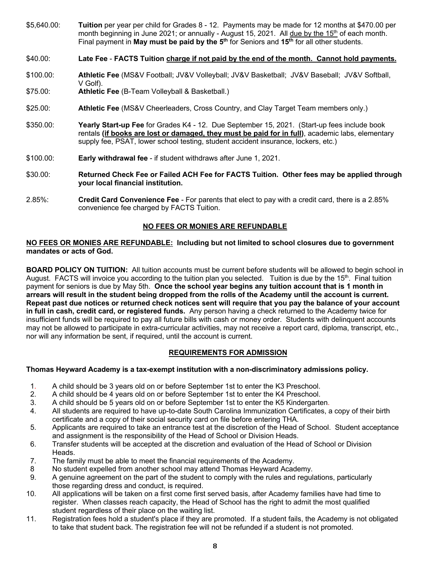\$5,640.00: **Tuition** per year per child for Grades 8 - 12. Payments may be made for 12 months at \$470.00 per month beginning in June 2021; or annually - August 15, 2021. All due by the  $15<sup>th</sup>$  of each month. Final payment in **May must be paid by the 5th** for Seniors and **15th** for all other students.

\$40.00: **Late Fee** - **FACTS Tuition charge if not paid by the end of the month. Cannot hold payments.**

- \$100.00: **Athletic Fee** (MS&V Football; JV&V Volleyball; JV&V Basketball; JV&V Baseball; JV&V Softball, V Golf).
- \$75.00: **Athletic Fee** (B-Team Volleyball & Basketball.)
- \$25.00: **Athletic Fee** (MS&V Cheerleaders, Cross Country, and Clay Target Team members only.)
- \$350.00: **Yearly Start-up Fee** for Grades K4 12. Due September 15, 2021. (Start-up fees include book rentals **(if books are lost or damaged, they must be paid for in full)**, academic labs, elementary supply fee, PSAT, lower school testing, student accident insurance, lockers, etc.)
- \$100.00: **Early withdrawal fee** if student withdraws after June 1, 2021.
- \$30.00: **Returned Check Fee or Failed ACH Fee for FACTS Tuition. Other fees may be applied through your local financial institution.**
- 2.85%: **Credit Card Convenience Fee** For parents that elect to pay with a credit card, there is a 2.85% convenience fee charged by FACTS Tuition.

#### **NO FEES OR MONIES ARE REFUNDABLE**

#### **NO FEES OR MONIES ARE REFUNDABLE: Including but not limited to school closures due to government mandates or acts of God.**

**BOARD POLICY ON TUITION:** All tuition accounts must be current before students will be allowed to begin school in August. FACTS will invoice you according to the tuition plan you selected. Tuition is due by the 15<sup>th</sup>. Final tuition payment for seniors is due by May 5th. **Once the school year begins any tuition account that is 1 month in arrears will result in the student being dropped from the rolls of the Academy until the account is current. Repeat past due notices or returned check notices sent will require that you pay the balance of your account in full in cash, credit card, or registered funds.** Any person having a check returned to the Academy twice for insufficient funds will be required to pay all future bills with cash or money order. Students with delinquent accounts may not be allowed to participate in extra-curricular activities, may not receive a report card, diploma, transcript, etc., nor will any information be sent, if required, until the account is current.

#### **REQUIREMENTS FOR ADMISSION**

#### **Thomas Heyward Academy is a tax-exempt institution with a non-discriminatory admissions policy.**

- 1. A child should be 3 years old on or before September 1st to enter the K3 Preschool.
- 2. A child should be 4 years old on or before September 1st to enter the K4 Preschool.
- 3. A child should be 5 years old on or before September 1st to enter the K5 Kindergarten.
- 4. All students are required to have up-to-date South Carolina Immunization Certificates, a copy of their birth certificate and a copy of their social security card on file before entering THA.
- 5. Applicants are required to take an entrance test at the discretion of the Head of School. Student acceptance and assignment is the responsibility of the Head of School or Division Heads.
- 6. Transfer students will be accepted at the discretion and evaluation of the Head of School or Division Heads.
- 7. The family must be able to meet the financial requirements of the Academy.
- 8 No student expelled from another school may attend Thomas Heyward Academy.
- 9. A genuine agreement on the part of the student to comply with the rules and regulations, particularly those regarding dress and conduct, is required.
- 10. All applications will be taken on a first come first served basis, after Academy families have had time to register. When classes reach capacity, the Head of School has the right to admit the most qualified student regardless of their place on the waiting list.
- 11. Registration fees hold a student's place if they are promoted. If a student fails, the Academy is not obligated to take that student back. The registration fee will not be refunded if a student is not promoted.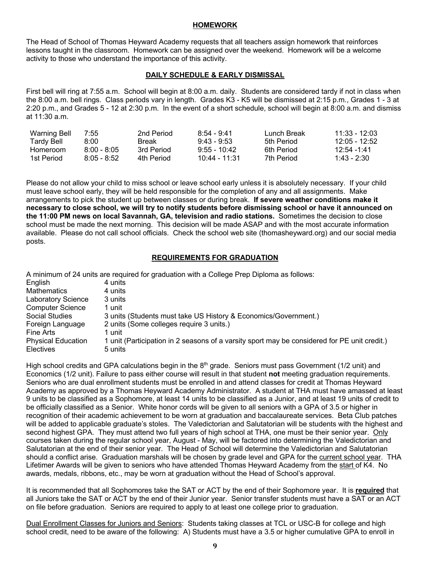#### **HOMEWORK**

The Head of School of Thomas Heyward Academy requests that all teachers assign homework that reinforces lessons taught in the classroom. Homework can be assigned over the weekend. Homework will be a welcome activity to those who understand the importance of this activity.

#### **DAILY SCHEDULE & EARLY DISMISSAL**

First bell will ring at 7:55 a.m. School will begin at 8:00 a.m. daily. Students are considered tardy if not in class when the 8:00 a.m. bell rings. Class periods vary in length. Grades K3 - K5 will be dismissed at 2:15 p.m., Grades 1 - 3 at 2:20 p.m., and Grades 5 - 12 at 2:30 p.m. In the event of a short schedule, school will begin at 8:00 a.m. and dismiss at 11:30 a.m.

| Warning Bell | 7:55          | 2nd Period | 8:54 - 9:41    | Lunch Break | $11.33 - 12.03$ |
|--------------|---------------|------------|----------------|-------------|-----------------|
| Tardy Bell   | 8:00          | Break      | $9.43 - 9.53$  | 5th Period  | $12.05 - 12.52$ |
| Homeroom     | $8.00 - 8.05$ | 3rd Period | $9.55 - 10.42$ | 6th Period  | 12:54 -1:41     |
| 1st Period   | $8.05 - 8.52$ | 4th Period | 10:44 - 11:31  | 7th Period  | 1:43 - 2:30     |

Please do not allow your child to miss school or leave school early unless it is absolutely necessary. If your child must leave school early, they will be held responsible for the completion of any and all assignments. Make arrangements to pick the student up between classes or during break. **If severe weather conditions make it necessary to close school, we will try to notify students before dismissing school or have it announced on the 11:00 PM news on local Savannah, GA, television and radio stations.** Sometimes the decision to close school must be made the next morning. This decision will be made ASAP and with the most accurate information available. Please do not call school officials. Check the school web site (thomasheyward.org) and our social media posts.

#### **REQUIREMENTS FOR GRADUATION**

|                           | A minimum of 24 units are required for graduation with a College Prep Diploma as follows:    |
|---------------------------|----------------------------------------------------------------------------------------------|
| English                   | 4 units                                                                                      |
| <b>Mathematics</b>        | 4 units                                                                                      |
| <b>Laboratory Science</b> | 3 units                                                                                      |
| <b>Computer Science</b>   | 1 unit                                                                                       |
| <b>Social Studies</b>     | 3 units (Students must take US History & Economics/Government.)                              |
| Foreign Language          | 2 units (Some colleges require 3 units.)                                                     |
| <b>Fine Arts</b>          | 1 unit                                                                                       |
| <b>Physical Education</b> | 1 unit (Participation in 2 seasons of a varsity sport may be considered for PE unit credit.) |
| <b>Electives</b>          | 5 units                                                                                      |

High school credits and GPA calculations begin in the 8<sup>th</sup> grade. Seniors must pass Government (1/2 unit) and Economics (1/2 unit). Failure to pass either course will result in that student **not** meeting graduation requirements. Seniors who are dual enrollment students must be enrolled in and attend classes for credit at Thomas Heyward Academy as approved by a Thomas Heyward Academy Administrator. A student at THA must have amassed at least 9 units to be classified as a Sophomore, at least 14 units to be classified as a Junior, and at least 19 units of credit to be officially classified as a Senior. White honor cords will be given to all seniors with a GPA of 3.5 or higher in recognition of their academic achievement to be worn at graduation and baccalaureate services. Beta Club patches will be added to applicable graduate's stoles. The Valedictorian and Salutatorian will be students with the highest and second highest GPA. They must attend two full years of high school at THA, one must be their senior year. Only courses taken during the regular school year, August - May, will be factored into determining the Valedictorian and Salutatorian at the end of their senior year. The Head of School will determine the Valedictorian and Salutatorian should a conflict arise. Graduation marshals will be chosen by grade level and GPA for the current school year. THA Lifetimer Awards will be given to seniors who have attended Thomas Heyward Academy from the start of K4. No awards, medals, ribbons, etc., may be worn at graduation without the Head of School's approval.

It is recommended that all Sophomores take the SAT or ACT by the end of their Sophomore year. It is **required** that all Juniors take the SAT or ACT by the end of their Junior year. Senior transfer students must have a SAT or an ACT on file before graduation. Seniors are required to apply to at least one college prior to graduation.

Dual Enrollment Classes for Juniors and Seniors: Students taking classes at TCL or USC-B for college and high school credit, need to be aware of the following: A) Students must have a 3.5 or higher cumulative GPA to enroll in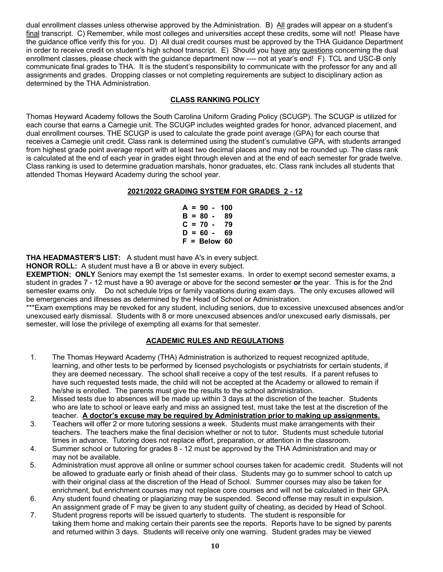dual enrollment classes unless otherwise approved by the Administration. B) All grades will appear on a student's final transcript. C) Remember, while most colleges and universities accept these credits, some will not! Please have the guidance office verify this for you. D) All dual credit courses must be approved by the THA Guidance Department in order to receive credit on student's high school transcript. E) Should you have any questions concerning the dual enrollment classes, please check with the guidance department now ---- not at year's end! F). TCL and USC-B only communicate final grades to THA. It is the student's responsibility to communicate with the professor for any and all assignments and grades. Dropping classes or not completing requirements are subject to disciplinary action as determined by the THA Administration.

#### **CLASS RANKING POLICY**

Thomas Heyward Academy follows the South Carolina Uniform Grading Policy (SCUGP). The SCUGP is utilized for each course that earns a Carnegie unit. The SCUGP includes weighted grades for honor, advanced placement, and dual enrollment courses. THE SCUGP is used to calculate the grade point average (GPA) for each course that receives a Carnegie unit credit. Class rank is determined using the student's cumulative GPA, with students arranged from highest grade point average report with at least two decimal places and may not be rounded up. The class rank is calculated at the end of each year in grades eight through eleven and at the end of each semester for grade twelve. Class ranking is used to determine graduation marshals, honor graduates, etc. Class rank includes all students that attended Thomas Heyward Academy during the school year.

#### **2021/2022 GRADING SYSTEM FOR GRADES 2 - 12**

**A = 90 - 100 B = 80 - 89 C = 70 - 79 D = 60 - 69 F = Below 60**

**THA HEADMASTER'S LIST:** A student must have A's in every subject.

**HONOR ROLL:** A student must have a B or above in every subject.

**EXEMPTION: ONLY** Seniors may exempt the 1st semester exams. In order to exempt second semester exams, a student in grades 7 - 12 must have a 90 average or above for the second semester **or** the year. This is for the 2nd semester exams only. Do not schedule trips or family vacations during exam days. The only excuses allowed will be emergencies and illnesses as determined by the Head of School or Administration.

\*\*\*Exam exemptions may be revoked for any student, including seniors, due to excessive unexcused absences and/or unexcused early dismissal. Students with 8 or more unexcused absences and/or unexcused early dismissals, per semester, will lose the privilege of exempting all exams for that semester.

#### **ACADEMIC RULES AND REGULATIONS**

- 1. The Thomas Heyward Academy (THA) Administration is authorized to request recognized aptitude, learning, and other tests to be performed by licensed psychologists or psychiatrists for certain students, if they are deemed necessary. The school shall receive a copy of the test results. If a parent refuses to have such requested tests made, the child will not be accepted at the Academy or allowed to remain if he/she is enrolled. The parents must give the results to the school administration.
- 2. Missed tests due to absences will be made up within 3 days at the discretion of the teacher. Students who are late to school or leave early and miss an assigned test, must take the test at the discretion of the teacher. **A doctor's excuse may be required by Administration prior to making up assignments.**
- 3. Teachers will offer 2 or more tutoring sessions a week. Students must make arrangements with their teachers. The teachers make the final decision whether or not to tutor. Students must schedule tutorial times in advance. Tutoring does not replace effort, preparation, or attention in the classroom.
- 4. Summer school or tutoring for grades 8 12 must be approved by the THA Administration and may or may not be available.
- 5. Administration must approve all online or summer school courses taken for academic credit. Students will not be allowed to graduate early or finish ahead of their class. Students may go to summer school to catch up with their original class at the discretion of the Head of School. Summer courses may also be taken for enrichment, but enrichment courses may not replace core courses and will not be calculated in their GPA.
- 6. Any student found cheating or plagiarizing may be suspended. Second offense may result in expulsion. An assignment grade of F may be given to any student guilty of cheating, as decided by Head of School.
- 7. Student progress reports will be issued quarterly to students. The student is responsible for taking them home and making certain their parents see the reports. Reports have to be signed by parents and returned within 3 days. Students will receive only one warning. Student grades may be viewed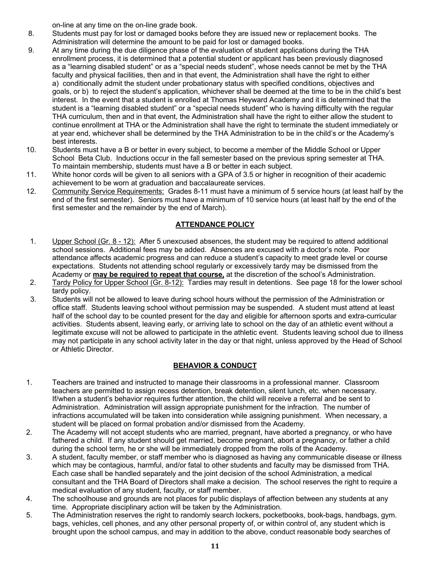on-line at any time on the on-line grade book.

- 8. Students must pay for lost or damaged books before they are issued new or replacement books. The Administration will determine the amount to be paid for lost or damaged books.
- 9. At any time during the due diligence phase of the evaluation of student applications during the THA enrollment process, it is determined that a potential student or applicant has been previously diagnosed as a "learning disabled student" or as a "special needs student", whose needs cannot be met by the THA faculty and physical facilities, then and in that event, the Administration shall have the right to either a) conditionally admit the student under probationary status with specified conditions, objectives and goals, or b) to reject the student's application, whichever shall be deemed at the time to be in the child's best interest. In the event that a student is enrolled at Thomas Heyward Academy and it is determined that the student is a "learning disabled student" or a "special needs student" who is having difficulty with the regular THA curriculum, then and in that event, the Administration shall have the right to either allow the student to continue enrollment at THA or the Administration shall have the right to terminate the student immediately or at year end, whichever shall be determined by the THA Administration to be in the child's or the Academy's best interests.
- 10. Students must have a B or better in every subject, to become a member of the Middle School or Upper School Beta Club. Inductions occur in the fall semester based on the previous spring semester at THA. To maintain membership, students must have a B or better in each subject.
- 11. White honor cords will be given to all seniors with a GPA of 3.5 or higher in recognition of their academic achievement to be worn at graduation and baccalaureate services.
- 12. Community Service Requirements: Grades 8-11 must have a minimum of 5 service hours (at least half by the end of the first semester). Seniors must have a minimum of 10 service hours (at least half by the end of the first semester and the remainder by the end of March).

### **ATTENDANCE POLICY**

- 1. Upper School (Gr. 8 12): After 5 unexcused absences, the student may be required to attend additional school sessions. Additional fees may be added. Absences are excused with a doctor's note. Poor attendance affects academic progress and can reduce a student's capacity to meet grade level or course expectations. Students not attending school regularly or excessively tardy may be dismissed from the Academy or **may be required to repeat that course,** at the discretion of the school's Administration.
- 2. Tardy Policy for Upper School (Gr. 8-12): Tardies may result in detentions. See page 18 for the lower school tardy policy.
- 3. Students will not be allowed to leave during school hours without the permission of the Administration or office staff. Students leaving school without permission may be suspended. A student must attend at least half of the school day to be counted present for the day and eligible for afternoon sports and extra-curricular activities. Students absent, leaving early, or arriving late to school on the day of an athletic event without a legitimate excuse will not be allowed to participate in the athletic event. Students leaving school due to illness may not participate in any school activity later in the day or that night, unless approved by the Head of School or Athletic Director.

#### **BEHAVIOR & CONDUCT**

- 1. Teachers are trained and instructed to manage their classrooms in a professional manner. Classroom teachers are permitted to assign recess detention, break detention, silent lunch, etc. when necessary. If/when a student's behavior requires further attention, the child will receive a referral and be sent to Administration. Administration will assign appropriate punishment for the infraction. The number of infractions accumulated will be taken into consideration while assigning punishment. When necessary, a student will be placed on formal probation and/or dismissed from the Academy.
- 2. The Academy will not accept students who are married, pregnant, have aborted a pregnancy, or who have fathered a child. If any student should get married, become pregnant, abort a pregnancy, or father a child during the school term, he or she will be immediately dropped from the rolls of the Academy.
- 3. A student, faculty member, or staff member who is diagnosed as having any communicable disease or illness which may be contagious, harmful, and/or fatal to other students and faculty may be dismissed from THA. Each case shall be handled separately and the joint decision of the school Administration, a medical consultant and the THA Board of Directors shall make a decision. The school reserves the right to require a medical evaluation of any student, faculty, or staff member.
- 4. The schoolhouse and grounds are not places for public displays of affection between any students at any time. Appropriate disciplinary action will be taken by the Administration.
- 5. The Administration reserves the right to randomly search lockers, pocketbooks, book-bags, handbags, gym. bags, vehicles, cell phones, and any other personal property of, or within control of, any student which is brought upon the school campus, and may in addition to the above, conduct reasonable body searches of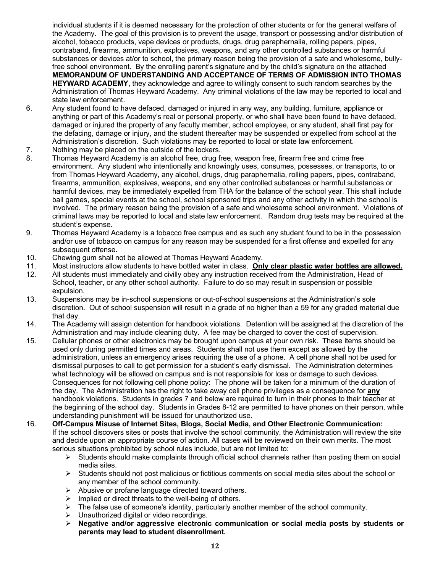individual students if it is deemed necessary for the protection of other students or for the general welfare of the Academy. The goal of this provision is to prevent the usage, transport or possessing and/or distribution of alcohol, tobacco products, vape devices or products, drugs, drug paraphernalia, rolling papers, pipes, contraband, firearms, ammunition, explosives, weapons, and any other controlled substances or harmful substances or devices at/or to school, the primary reason being the provision of a safe and wholesome, bullyfree school environment. By the enrolling parent's signature and by the child's signature on the attached **MEMORANDUM OF UNDERSTANDING AND ACCEPTANCE OF TERMS OF ADMISSION INTO THOMAS HEYWARD ACADEMY,** they acknowledge and agree to willingly consent to such random searches by the Administration of Thomas Heyward Academy. Any criminal violations of the law may be reported to local and state law enforcement.

- 6. Any student found to have defaced, damaged or injured in any way, any building, furniture, appliance or anything or part of this Academy's real or personal property, or who shall have been found to have defaced, damaged or injured the property of any faculty member, school employee, or any student, shall first pay for the defacing, damage or injury, and the student thereafter may be suspended or expelled from school at the Administration's discretion. Such violations may be reported to local or state law enforcement.
- 7. Nothing may be placed on the outside of the lockers.
- 8. Thomas Heyward Academy is an alcohol free, drug free, weapon free, firearm free and crime free environment. Any student who intentionally and knowingly uses, consumes, possesses, or transports, to or from Thomas Heyward Academy, any alcohol, drugs, drug paraphernalia, rolling papers, pipes, contraband, firearms, ammunition, explosives, weapons, and any other controlled substances or harmful substances or harmful devices, may be immediately expelled from THA for the balance of the school year. This shall include ball games, special events at the school, school sponsored trips and any other activity in which the school is involved. The primary reason being the provision of a safe and wholesome school environment. Violations of criminal laws may be reported to local and state law enforcement. Random drug tests may be required at the student's expense.
- 9. Thomas Heyward Academy is a tobacco free campus and as such any student found to be in the possession and/or use of tobacco on campus for any reason may be suspended for a first offense and expelled for any subsequent offense.
- 10. Chewing gum shall not be allowed at Thomas Heyward Academy.
- 11. Most instructors allow students to have bottled water in class. **Only clear plastic water bottles are allowed.**
- 12. All students must immediately and civilly obey any instruction received from the Administration, Head of School, teacher, or any other school authority. Failure to do so may result in suspension or possible expulsion.
- 13. Suspensions may be in-school suspensions or out-of-school suspensions at the Administration's sole discretion. Out of school suspension will result in a grade of no higher than a 59 for any graded material due that day.
- 14. The Academy will assign detention for handbook violations. Detention will be assigned at the discretion of the Administration and may include cleaning duty. A fee may be charged to cover the cost of supervision.
- 15. Cellular phones or other electronics may be brought upon campus at your own risk. These items should be used only during permitted times and areas. Students shall not use them except as allowed by the administration, unless an emergency arises requiring the use of a phone. A cell phone shall not be used for dismissal purposes to call to get permission for a student's early dismissal. The Administration determines what technology will be allowed on campus and is not responsible for loss or damage to such devices. Consequences for not following cell phone policy: The phone will be taken for a minimum of the duration of the day. The Administration has the right to take away cell phone privileges as a consequence for **any** handbook violations. Students in grades 7 and below are required to turn in their phones to their teacher at the beginning of the school day. Students in Grades 8-12 are permitted to have phones on their person, while understanding punishment will be issued for unauthorized use.
- 16. **Off-Campus Misuse of Internet Sites, Blogs, Social Media, and Other Electronic Communication:**  If the school discovers sites or posts that involve the school community, the Administration will review the site and decide upon an appropriate course of action. All cases will be reviewed on their own merits. The most serious situations prohibited by school rules include, but are not limited to:
	- $\triangleright$  Students should make complaints through official school channels rather than posting them on social media sites.
	- $\triangleright$  Students should not post malicious or fictitious comments on social media sites about the school or any member of the school community.
	- $\triangleright$  Abusive or profane language directed toward others.
	- $\triangleright$  Implied or direct threats to the well-being of others.
	- $\triangleright$  The false use of someone's identity, particularly another member of the school community.
	- $\triangleright$  Unauthorized digital or video recordings.
	- Ø **Negative and/or aggressive electronic communication or social media posts by students or parents may lead to student disenrollment.**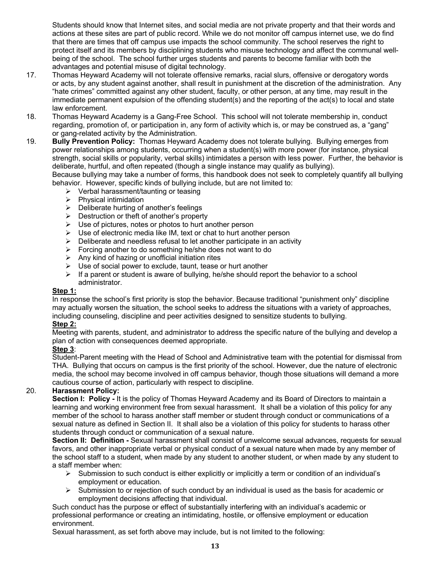Students should know that Internet sites, and social media are not private property and that their words and actions at these sites are part of public record. While we do not monitor off campus internet use, we do find that there are times that off campus use impacts the school community. The school reserves the right to protect itself and its members by disciplining students who misuse technology and affect the communal wellbeing of the school. The school further urges students and parents to become familiar with both the advantages and potential misuse of digital technology.

- 17. Thomas Heyward Academy will not tolerate offensive remarks, racial slurs, offensive or derogatory words or acts, by any student against another, shall result in punishment at the discretion of the administration. Any "hate crimes" committed against any other student, faculty, or other person, at any time, may result in the immediate permanent expulsion of the offending student(s) and the reporting of the act(s) to local and state law enforcement.
- 18. Thomas Heyward Academy is a Gang-Free School. This school will not tolerate membership in, conduct regarding, promotion of, or participation in, any form of activity which is, or may be construed as, a "gang" or gang-related activity by the Administration.
- 19. **Bully Prevention Policy:** Thomas Heyward Academy does not tolerate bullying. Bullying emerges from power relationships among students, occurring when a student(s) with more power (for instance, physical strength, social skills or popularity, verbal skills) intimidates a person with less power. Further, the behavior is deliberate, hurtful, and often repeated (though a single instance may qualify as bullying). Because bullying may take a number of forms, this handbook does not seek to completely quantify all bullying

behavior. However, specific kinds of bullying include, but are not limited to:

- $\triangleright$  Verbal harassment/taunting or teasing
- $\triangleright$  Physical intimidation
- $\triangleright$  Deliberate hurting of another's feelings
- $\triangleright$  Destruction or theft of another's property
- $\triangleright$  Use of pictures, notes or photos to hurt another person
- $\triangleright$  Use of electronic media like IM, text or chat to hurt another person
- $\triangleright$  Deliberate and needless refusal to let another participate in an activity
- $\triangleright$  Forcing another to do something he/she does not want to do
- $\triangleright$  Any kind of hazing or unofficial initiation rites
- $\triangleright$  Use of social power to exclude, taunt, tease or hurt another
- $\triangleright$  If a parent or student is aware of bullying, he/she should report the behavior to a school administrator.

#### **Step 1:**

In response the school's first priority is stop the behavior. Because traditional "punishment only" discipline may actually worsen the situation, the school seeks to address the situations with a variety of approaches, including counseling, discipline and peer activities designed to sensitize students to bullying. **Step 2:**

Meeting with parents, student, and administrator to address the specific nature of the bullying and develop a plan of action with consequences deemed appropriate.

#### **Step 3**:

Student-Parent meeting with the Head of School and Administrative team with the potential for dismissal from THA. Bullying that occurs on campus is the first priority of the school. However, due the nature of electronic media, the school may become involved in off campus behavior, though those situations will demand a more cautious course of action, particularly with respect to discipline.

#### 20. **Harassment Policy:**

**Section I: Policy -** It is the policy of Thomas Heyward Academy and its Board of Directors to maintain a learning and working environment free from sexual harassment. It shall be a violation of this policy for any member of the school to harass another staff member or student through conduct or communications of a sexual nature as defined in Section II. It shall also be a violation of this policy for students to harass other students through conduct or communication of a sexual nature.

**Section II: Definition -** Sexual harassment shall consist of unwelcome sexual advances, requests for sexual favors, and other inappropriate verbal or physical conduct of a sexual nature when made by any member of the school staff to a student, when made by any student to another student, or when made by any student to a staff member when:

- $\triangleright$  Submission to such conduct is either explicitly or implicitly a term or condition of an individual's employment or education.
- $\triangleright$  Submission to or rejection of such conduct by an individual is used as the basis for academic or employment decisions affecting that individual.

Such conduct has the purpose or effect of substantially interfering with an individual's academic or professional performance or creating an intimidating, hostile, or offensive employment or education environment.

Sexual harassment, as set forth above may include, but is not limited to the following: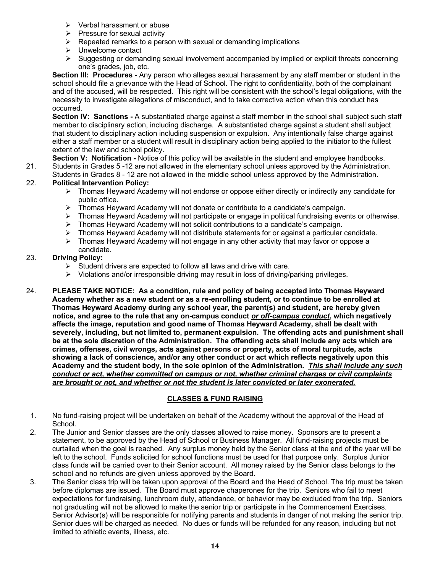- $\triangleright$  Verbal harassment or abuse
- $\triangleright$  Pressure for sexual activity
- $\triangleright$  Repeated remarks to a person with sexual or demanding implications
- $\triangleright$  Unwelcome contact
- $\triangleright$  Suggesting or demanding sexual involvement accompanied by implied or explicit threats concerning one's grades, job, etc.

**Section III: Procedures -** Any person who alleges sexual harassment by any staff member or student in the school should file a grievance with the Head of School. The right to confidentiality, both of the complainant and of the accused, will be respected. This right will be consistent with the school's legal obligations, with the necessity to investigate allegations of misconduct, and to take corrective action when this conduct has occurred.

**Section IV: Sanctions -** A substantiated charge against a staff member in the school shall subject such staff member to disciplinary action, including discharge. A substantiated charge against a student shall subject that student to disciplinary action including suspension or expulsion. Any intentionally false charge against either a staff member or a student will result in disciplinary action being applied to the initiator to the fullest extent of the law and school policy.

**Section V: Notification -** Notice of this policy will be available in the student and employee handbooks. 21. Students in Grades 5 -12 are not allowed in the elementary school unless approved by the Administration.

- Students in Grades 8 12 are not allowed in the middle school unless approved by the Administration. 22. **Political Intervention Policy:**
	- $\triangleright$  Thomas Heyward Academy will not endorse or oppose either directly or indirectly any candidate for public office.
	- $\triangleright$  Thomas Heyward Academy will not donate or contribute to a candidate's campaign.
	- $\triangleright$  Thomas Heyward Academy will not participate or engage in political fundraising events or otherwise.
	- $\triangleright$  Thomas Heyward Academy will not solicit contributions to a candidate's campaign.
	- $\triangleright$  Thomas Heyward Academy will not distribute statements for or against a particular candidate.
	- $\triangleright$  Thomas Heyward Academy will not engage in any other activity that may favor or oppose a candidate.

#### 23. **Driving Policy:**

- $\blacktriangleright$  Student drivers are expected to follow all laws and drive with care.
- $\triangleright$  Violations and/or irresponsible driving may result in loss of driving/parking privileges.
- 24. **PLEASE TAKE NOTICE: As a condition, rule and policy of being accepted into Thomas Heyward Academy whether as a new student or as a re-enrolling student, or to continue to be enrolled at Thomas Heyward Academy during any school year, the parent(s) and student, are hereby given notice, and agree to the rule that any on-campus conduct** *or off-campus conduct***, which negatively affects the image, reputation and good name of Thomas Heyward Academy, shall be dealt with severely, including, but not limited to, permanent expulsion. The offending acts and punishment shall be at the sole discretion of the Administration. The offending acts shall include any acts which are crimes, offenses, civil wrongs, acts against persons or property, acts of moral turpitude, acts showing a lack of conscience, and/or any other conduct or act which reflects negatively upon this Academy and the student body, in the sole opinion of the Administration.** *This shall include any such conduct or act, whether committed on campus or not, whether criminal charges or civil complaints are brought or not, and whether or not the student is later convicted or later exonerated.*

#### **CLASSES & FUND RAISING**

- 1. No fund-raising project will be undertaken on behalf of the Academy without the approval of the Head of School.
- 2. The Junior and Senior classes are the only classes allowed to raise money. Sponsors are to present a statement, to be approved by the Head of School or Business Manager. All fund-raising projects must be curtailed when the goal is reached. Any surplus money held by the Senior class at the end of the year will be left to the school. Funds solicited for school functions must be used for that purpose only. Surplus Junior class funds will be carried over to their Senior account. All money raised by the Senior class belongs to the school and no refunds are given unless approved by the Board.
- 3. The Senior class trip will be taken upon approval of the Board and the Head of School. The trip must be taken before diplomas are issued. The Board must approve chaperones for the trip. Seniors who fail to meet expectations for fundraising, lunchroom duty, attendance, or behavior may be excluded from the trip. Seniors not graduating will not be allowed to make the senior trip or participate in the Commencement Exercises. Senior Advisor(s) will be responsible for notifying parents and students in danger of not making the senior trip. Senior dues will be charged as needed. No dues or funds will be refunded for any reason, including but not limited to athletic events, illness, etc.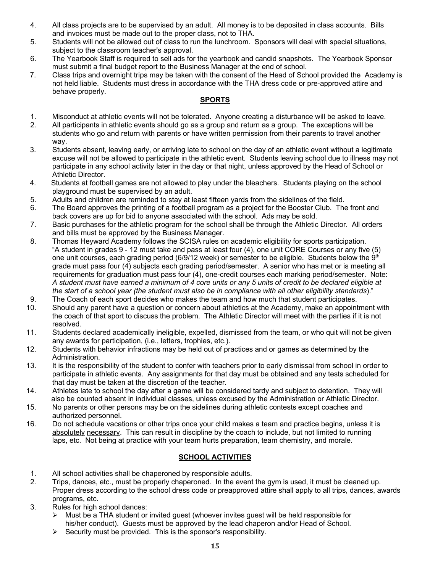- 4. All class projects are to be supervised by an adult. All money is to be deposited in class accounts. Bills and invoices must be made out to the proper class, not to THA.
- 5. Students will not be allowed out of class to run the lunchroom. Sponsors will deal with special situations, subject to the classroom teacher's approval.
- 6. The Yearbook Staff is required to sell ads for the yearbook and candid snapshots. The Yearbook Sponsor must submit a final budget report to the Business Manager at the end of school.
- 7. Class trips and overnight trips may be taken with the consent of the Head of School provided the Academy is not held liable. Students must dress in accordance with the THA dress code or pre-approved attire and behave properly.

#### **SPORTS**

- 1. Misconduct at athletic events will not be tolerated. Anyone creating a disturbance will be asked to leave.
- 2. All participants in athletic events should go as a group and return as a group. The exceptions will be students who go and return with parents or have written permission from their parents to travel another way.
- 3. Students absent, leaving early, or arriving late to school on the day of an athletic event without a legitimate excuse will not be allowed to participate in the athletic event. Students leaving school due to illness may not participate in any school activity later in the day or that night, unless approved by the Head of School or Athletic Director.
- 4. Students at football games are not allowed to play under the bleachers. Students playing on the school playground must be supervised by an adult.
- 5. Adults and children are reminded to stay at least fifteen yards from the sidelines of the field.
- 6. The Board approves the printing of a football program as a project for the Booster Club. The front and back covers are up for bid to anyone associated with the school. Ads may be sold.
- 7. Basic purchases for the athletic program for the school shall be through the Athletic Director. All orders and bills must be approved by the Business Manager.
- 8. Thomas Heyward Academy follows the SCISA rules on academic eligibility for sports participation. "A student in grades 9 - 12 must take and pass at least four (4), one unit CORE Courses or any five (5) one unit courses, each grading period (6/9/12 week) or semester to be eligible. Students below the  $9<sup>th</sup>$  grade must pass four (4) subjects each grading period/semester. A senior who has met or is meeting all requirements for graduation must pass four (4), one-credit courses each marking period/semester. Note: *A student must have earned a minimum of 4 core units or any 5 units of credit to be declared eligible at the start of a school year (the student must also be in compliance with all other eligibility standards*)."
- 9. The Coach of each sport decides who makes the team and how much that student participates.
- 10. Should any parent have a question or concern about athletics at the Academy, make an appointment with the coach of that sport to discuss the problem. The Athletic Director will meet with the parties if it is not resolved.
- 11. Students declared academically ineligible, expelled, dismissed from the team, or who quit will not be given any awards for participation, (i.e., letters, trophies, etc.).
- 12. Students with behavior infractions may be held out of practices and or games as determined by the Administration.
- 13. It is the responsibility of the student to confer with teachers prior to early dismissal from school in order to participate in athletic events. Any assignments for that day must be obtained and any tests scheduled for that day must be taken at the discretion of the teacher.
- 14. Athletes late to school the day after a game will be considered tardy and subject to detention. They will also be counted absent in individual classes, unless excused by the Administration or Athletic Director.
- 15. No parents or other persons may be on the sidelines during athletic contests except coaches and authorized personnel.
- 16. Do not schedule vacations or other trips once your child makes a team and practice begins, unless it is absolutely necessary. This can result in discipline by the coach to include, but not limited to running laps, etc. Not being at practice with your team hurts preparation, team chemistry, and morale.

#### **SCHOOL ACTIVITIES**

- 1. All school activities shall be chaperoned by responsible adults.
- 2. Trips, dances, etc., must be properly chaperoned. In the event the gym is used, it must be cleaned up. Proper dress according to the school dress code or preapproved attire shall apply to all trips, dances, awards programs, etc.
- 3. Rules for high school dances:
	- $\triangleright$  Must be a THA student or invited guest (whoever invites guest will be held responsible for his/her conduct). Guests must be approved by the lead chaperon and/or Head of School.
	- Security must be provided. This is the sponsor's responsibility.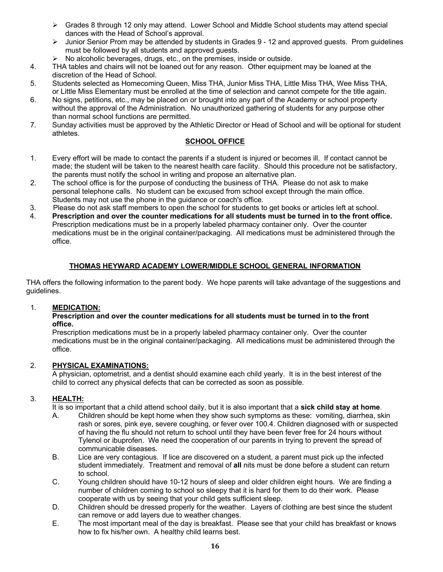- $\triangleright$  Grades 8 through 12 only may attend. Lower School and Middle School students may attend special dances with the Head of School's approval.
- $\triangleright$  Junior Senior Prom may be attended by students in Grades 9 12 and approved guests. Prom guidelines must be followed by all students and approved guests.
- Ø No alcoholic beverages, drugs, etc., on the premises, inside or outside.
- 4. THA tables and chairs will not be loaned out for any reason. Other equipment may be loaned at the discretion of the Head of School.<br>5. Students selected as Homecomir
- Students selected as Homecoming Queen, Miss THA, Junior Miss THA, Little Miss THA, Wee Miss THA, or Little Miss Elementary must be enrolled at the time of selection and cannot compete for the title again.
- 6. No signs, petitions, etc., may be placed on or brought into any part of the Academy or school property without the approval of the Administration. No unauthorized gathering of students for any purpose other than normal school functions are permitted.<br>7. Sunday activities must be approved by the A
- Sunday activities must be approved by the Athletic Director or Head of School and will be optional for student athletes.

#### **SCHOOL OFFICE**

- 1. Every effort will be made to contact the parents if a student is injured or becomes ill. If contact cannot be made; the student will be taken to the nearest health care facility. Should this procedure not be satisfactory, the parents must notify the school in writing and propose an alternative plan.
- 2. The school office is for the purpose of conducting the business of THA. Please do not ask to make personal telephone calls. No student can be excused from school except through the main office. Students may not use the phone in the guidance or coach's office.
- 3. Please do not ask staff members to open the school for students to get books or articles left at school.
- 4. **Prescription and over the counter medications for all students must be turned in to the front office.** Prescription medications must be in a properly labeled pharmacy container only. Over the counter medications must be in the original container/packaging. All medications must be administered through the office.

#### **THOMAS HEYWARD ACADEMY LOWER/MIDDLE SCHOOL GENERAL INFORMATION**

THA offers the following information to the parent body. We hope parents will take advantage of the suggestions and guidelines.

#### 1. **MEDICATION:**

#### **Prescription and over the counter medications for all students must be turned in to the front office.**

 Prescription medications must be in a properly labeled pharmacy container only. Over the counter medications must be in the original container/packaging. All medications must be administered through the office.

#### 2. **PHYSICAL EXAMINATIONS:**

A physician, optometrist, and a dentist should examine each child yearly. It is in the best interest of the child to correct any physical defects that can be corrected as soon as possible.

#### 3. **HEALTH:**

It is so important that a child attend school daily, but it is also important that a **sick child stay at home**.

- A. Children should be kept home when they show such symptoms as these: vomiting, diarrhea, skin rash or sores, pink eye, severe coughing, or fever over 100.4. Children diagnosed with or suspected of having the flu should not return to school until they have been fever free for 24 hours without Tylenol or ibuprofen. We need the cooperation of our parents in trying to prevent the spread of communicable diseases.
- B.Lice are very contagious. If lice are discovered on a student, a parent must pick up the infected student immediately. Treatment and removal of **all** nits must be done before a student can return to school.<br>C. Young chil
- Young children should have 10-12 hours of sleep and older children eight hours. We are finding a number of children coming to school so sleepy that it is hard for them to do their work. Please cooperate with us by seeing that your child gets sufficient sleep.
- D.Children should be dressed properly for the weather. Layers of clothing are best since the student can remove or add layers due to weather changes.
- E.The most important meal of the day is breakfast. Please see that your child has breakfast or knows how to fix his/her own. A healthy child learns best.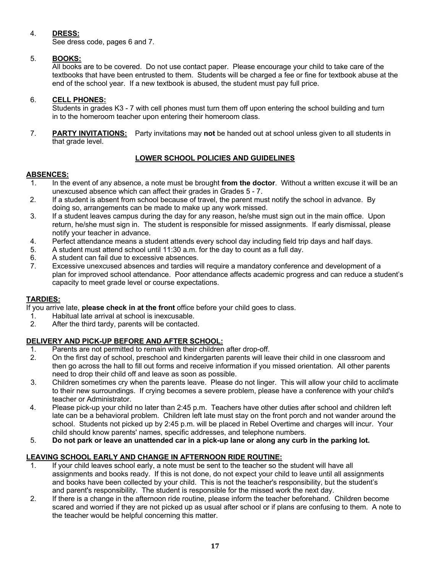#### 4. **DRESS:**

See dress code, pages 6 and 7.

#### 5. **BOOKS:**

All books are to be covered. Do not use contact paper. Please encourage your child to take care of the textbooks that have been entrusted to them. Students will be charged a fee or fine for textbook abuse at the end of the school year. If a new textbook is abused, the student must pay full price.

#### 6. **CELL PHONES:**

Students in grades K3 - 7 with cell phones must turn them off upon entering the school building and turn in to the homeroom teacher upon entering their homeroom class.

 7. **PARTY INVITATIONS:** Party invitations may **not** be handed out at school unless given to all students in that grade level.

#### **LOWER SCHOOL POLICIES AND GUIDELINES**

#### **ABSENCES:**

- 1. In the event of any absence, a note must be brought **from the doctor**. Without a written excuse it will be an unexcused absence which can affect their grades in Grades 5 - 7.
- 2. If a student is absent from school because of travel, the parent must notify the school in advance. By doing so, arrangements can be made to make up any work missed.
- 3. If a student leaves campus during the day for any reason, he/she must sign out in the main office. Upon return, he/she must sign in. The student is responsible for missed assignments. If early dismissal, please notify your teacher in advance.
- 4. Perfect attendance means a student attends every school day including field trip days and half days.
- 5. A student must attend school until 11:30 a.m. for the day to count as a full day.
- 6. A student can fail due to excessive absences.
- 7. Excessive unexcused absences and tardies will require a mandatory conference and development of a plan for improved school attendance. Poor attendance affects academic progress and can reduce a student's capacity to meet grade level or course expectations.

#### **TARDIES:**

If you arrive late, **please check in at the front** office before your child goes to class.

- 1. Habitual late arrival at school is inexcusable.<br>2. After the third tardy, parents will be contacted
- After the third tardy, parents will be contacted.

#### **DELIVERY AND PICK-UP BEFORE AND AFTER SCHOOL:**

- 1. Parents are not permitted to remain with their children after drop-off.
- 2. On the first day of school, preschool and kindergarten parents will leave their child in one classroom and then go across the hall to fill out forms and receive information if you missed orientation. All other parents need to drop their child off and leave as soon as possible.
- 3. Children sometimes cry when the parents leave. Please do not linger. This will allow your child to acclimate to their new surroundings. If crying becomes a severe problem, please have a conference with your child's teacher or Administrator.
- 4. Please pick-up your child no later than 2:45 p.m. Teachers have other duties after school and children left late can be a behavioral problem. Children left late must stay on the front porch and not wander around the school. Students not picked up by 2:45 p.m. will be placed in Rebel Overtime and charges will incur. Your child should know parents' names, specific addresses, and telephone numbers.
- 5. **Do not park or leave an unattended car in a pick-up lane or along any curb in the parking lot.**

#### **LEAVING SCHOOL EARLY AND CHANGE IN AFTERNOON RIDE ROUTINE:**

- 1. If your child leaves school early, a note must be sent to the teacher so the student will have all assignments and books ready. If this is not done, do not expect your child to leave until all assignments and books have been collected by your child. This is not the teacher's responsibility, but the student's and parent's responsibility. The student is responsible for the missed work the next day.
- 2. If there is a change in the afternoon ride routine, please inform the teacher beforehand. Children become scared and worried if they are not picked up as usual after school or if plans are confusing to them. A note to the teacher would be helpful concerning this matter.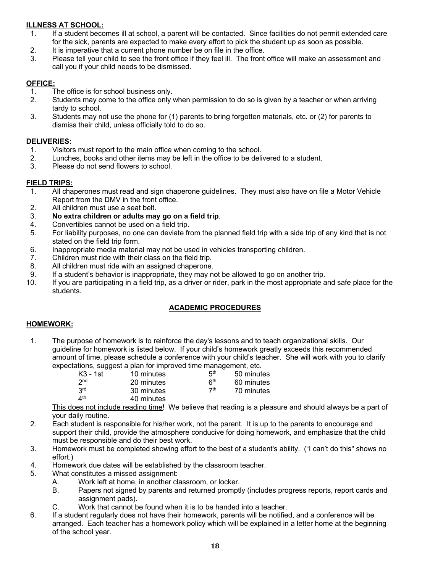#### **ILLNESS AT SCHOOL:**

- 1. If a student becomes ill at school, a parent will be contacted. Since facilities do not permit extended care for the sick, parents are expected to make every effort to pick the student up as soon as possible.
- 2. It is imperative that a current phone number be on file in the office.
- 3. Please tell your child to see the front office if they feel ill. The front office will make an assessment and call you if your child needs to be dismissed.

#### **OFFICE:**

- 1. The office is for school business only.
- 2. Students may come to the office only when permission to do so is given by a teacher or when arriving tardy to school.
- 3. Students may not use the phone for (1) parents to bring forgotten materials, etc. or (2) for parents to dismiss their child, unless officially told to do so.

#### **DELIVERIES:**

- 1. Visitors must report to the main office when coming to the school.
- 2. Lunches, books and other items may be left in the office to be delivered to a student.
- 3. Please do not send flowers to school.

#### **FIELD TRIPS:**

- 1. All chaperones must read and sign chaperone guidelines. They must also have on file a Motor Vehicle Report from the DMV in the front office.
- 2. All children must use a seat belt.
- 3. **No extra children or adults may go on a field trip**.
- 4. Convertibles cannot be used on a field trip.
- 5. For liability purposes, no one can deviate from the planned field trip with a side trip of any kind that is not stated on the field trip form.
- 6. Inappropriate media material may not be used in vehicles transporting children.
- 7. Children must ride with their class on the field trip.
- 8. All children must ride with an assigned chaperone.
- 9. If a student's behavior is inappropriate, they may not be allowed to go on another trip.
- 10. If you are participating in a field trip, as a driver or rider, park in the most appropriate and safe place for the students.

#### **ACADEMIC PROCEDURES**

#### **HOMEWORK:**

 1. The purpose of homework is to reinforce the day's lessons and to teach organizational skills. Our guideline for homework is listed below. If your child's homework greatly exceeds this recommended amount of time, please schedule a conference with your child's teacher. She will work with you to clarify expectations, suggest a plan for improved time management, etc.

| K3 - 1st        | 10 minutes | 5th                   | 50 minutes |
|-----------------|------------|-----------------------|------------|
| 2 <sub>nd</sub> | 20 minutes | <b>R<sup>th</sup></b> | 60 minutes |
| 3 <sup>rd</sup> | 30 minutes | 7 <sup>th</sup>       | 70 minutes |
| $4^{\text{th}}$ | 40 minutes |                       |            |

This does not include reading time! We believe that reading is a pleasure and should always be a part of your daily routine.

- 2. Each student is responsible for his/her work, not the parent. It is up to the parents to encourage and support their child, provide the atmosphere conducive for doing homework, and emphasize that the child must be responsible and do their best work.
- 3. Homework must be completed showing effort to the best of a student's ability. ("I can't do this" shows no effort.)
- 4. Homework due dates will be established by the classroom teacher.
- 5. What constitutes a missed assignment:
	- A. Work left at home, in another classroom, or locker.
	- B. Papers not signed by parents and returned promptly (includes progress reports, report cards and assignment pads).
	- C. Work that cannot be found when it is to be handed into a teacher.
- 6. If a student regularly does not have their homework, parents will be notified, and a conference will be arranged. Each teacher has a homework policy which will be explained in a letter home at the beginning of the school year.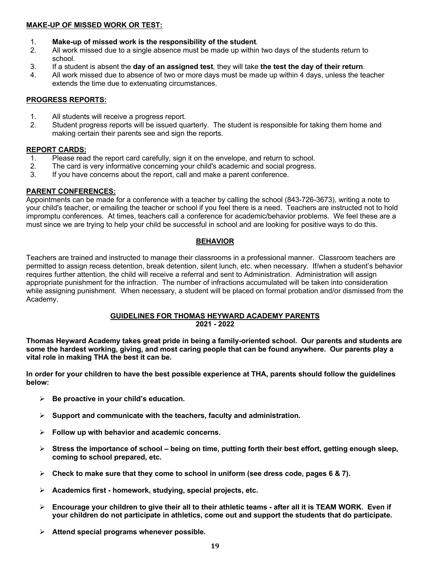#### **MAKE-UP OF MISSED WORK OR TEST:**

- 1. **Make-up of missed work is the responsibility of the student**.
- 2. All work missed due to a single absence must be made up within two days of the students return to school.
- 3. If a student is absent the **day of an assigned test**, they will take **the test the day of their return**.
- 4. All work missed due to absence of two or more days must be made up within 4 days, unless the teacher extends the time due to extenuating circumstances.

#### **PROGRESS REPORTS:**

- 1. All students will receive a progress report.
- 2. Student progress reports will be issued quarterly. The student is responsible for taking them home and making certain their parents see and sign the reports.

#### **REPORT CARDS:**

- 1. Please read the report card carefully, sign it on the envelope, and return to school.
- 2. The card is very informative concerning your child's academic and social progress.<br>3. If you have concerns about the report, call and make a parent conference.
- If you have concerns about the report, call and make a parent conference.

#### **PARENT CONFERENCES:**

Appointments can be made for a conference with a teacher by calling the school (843-726-3673), writing a note to your child's teacher, or emailing the teacher or school if you feel there is a need. Teachers are instructed not to hold impromptu conferences. At times, teachers call a conference for academic/behavior problems. We feel these are a must since we are trying to help your child be successful in school and are looking for positive ways to do this.

#### **BEHAVIOR**

Teachers are trained and instructed to manage their classrooms in a professional manner. Classroom teachers are permitted to assign recess detention, break detention, silent lunch, etc. when necessary. If/when a student's behavior requires further attention, the child will receive a referral and sent to Administration. Administration will assign appropriate punishment for the infraction. The number of infractions accumulated will be taken into consideration while assigning punishment. When necessary, a student will be placed on formal probation and/or dismissed from the Academy.

#### **GUIDELINES FOR THOMAS HEYWARD ACADEMY PARENTS 2021 - 2022**

**Thomas Heyward Academy takes great pride in being a family-oriented school. Our parents and students are some the hardest working, giving, and most caring people that can be found anywhere. Our parents play a vital role in making THA the best it can be.** 

**In order for your children to have the best possible experience at THA, parents should follow the guidelines below:**

- Ø **Be proactive in your child's education.**
- Ø **Support and communicate with the teachers, faculty and administration.**
- Ø **Follow up with behavior and academic concerns.**
- Ø **Stress the importance of school – being on time, putting forth their best effort, getting enough sleep, coming to school prepared, etc.**
- $\triangleright$  Check to make sure that they come to school in uniform (see dress code, pages 6 & 7).
- Ø **Academics first - homework, studying, special projects, etc.**
- Ø **Encourage your children to give their all to their athletic teams - after all it is TEAM WORK. Even if your children do not participate in athletics, come out and support the students that do participate.**
- Ø **Attend special programs whenever possible.**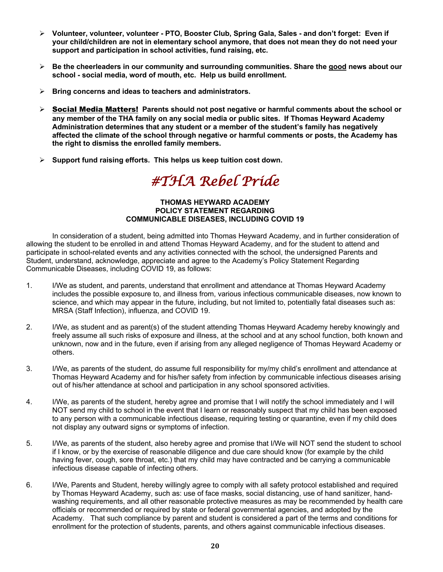- Ø **Volunteer, volunteer, volunteer - PTO, Booster Club, Spring Gala, Sales - and don't forget: Even if your child/children are not in elementary school anymore, that does not mean they do not need your support and participation in school activities, fund raising, etc.**
- Ø **Be the cheerleaders in our community and surrounding communities. Share the good news about our school - social media, word of mouth, etc. Help us build enrollment.**
- Ø **Bring concerns and ideas to teachers and administrators.**
- Ø Social Media Matters! **Parents should not post negative or harmful comments about the school or any member of the THA family on any social media or public sites. If Thomas Heyward Academy Administration determines that any student or a member of the student's family has negatively affected the climate of the school through negative or harmful comments or posts, the Academy has the right to dismiss the enrolled family members.**
- Ø **Support fund raising efforts. This helps us keep tuition cost down.**

*#THA Rebel Pride* 

#### **THOMAS HEYWARD ACADEMY POLICY STATEMENT REGARDING COMMUNICABLE DISEASES, INCLUDING COVID 19**

In consideration of a student, being admitted into Thomas Heyward Academy, and in further consideration of allowing the student to be enrolled in and attend Thomas Heyward Academy, and for the student to attend and participate in school-related events and any activities connected with the school, the undersigned Parents and Student, understand, acknowledge, appreciate and agree to the Academy's Policy Statement Regarding Communicable Diseases, including COVID 19, as follows:

- 1. I/We as student, and parents, understand that enrollment and attendance at Thomas Heyward Academy includes the possible exposure to, and illness from, various infectious communicable diseases, now known to science, and which may appear in the future, including, but not limited to, potentially fatal diseases such as: MRSA (Staff Infection), influenza, and COVID 19.
- 2. I/We, as student and as parent(s) of the student attending Thomas Heyward Academy hereby knowingly and freely assume all such risks of exposure and illness, at the school and at any school function, both known and unknown, now and in the future, even if arising from any alleged negligence of Thomas Heyward Academy or others.
- 3. I/We, as parents of the student, do assume full responsibility for my/my child's enrollment and attendance at Thomas Heyward Academy and for his/her safety from infection by communicable infectious diseases arising out of his/her attendance at school and participation in any school sponsored activities.
- 4. I/We, as parents of the student, hereby agree and promise that I will notify the school immediately and I will NOT send my child to school in the event that I learn or reasonably suspect that my child has been exposed to any person with a communicable infectious disease, requiring testing or quarantine, even if my child does not display any outward signs or symptoms of infection.
- 5. I/We, as parents of the student, also hereby agree and promise that I/We will NOT send the student to school if I know, or by the exercise of reasonable diligence and due care should know (for example by the child having fever, cough, sore throat, etc.) that my child may have contracted and be carrying a communicable infectious disease capable of infecting others.
- 6. I/We, Parents and Student, hereby willingly agree to comply with all safety protocol established and required by Thomas Heyward Academy, such as: use of face masks, social distancing, use of hand sanitizer, handwashing requirements, and all other reasonable protective measures as may be recommended by health care officials or recommended or required by state or federal governmental agencies, and adopted by the Academy. That such compliance by parent and student is considered a part of the terms and conditions for enrollment for the protection of students, parents, and others against communicable infectious diseases.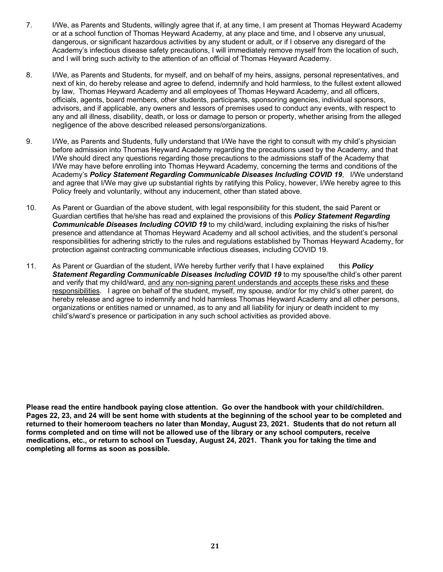- 7. I/We, as Parents and Students, willingly agree that if, at any time, I am present at Thomas Heyward Academy or at a school function of Thomas Heyward Academy, at any place and time, and I observe any unusual, dangerous, or significant hazardous activities by any student or adult, or if I observe any disregard of the Academy's infectious disease safety precautions, I will immediately remove myself from the location of such, and I will bring such activity to the attention of an official of Thomas Heyward Academy.
- 8. I/We, as Parents and Students, for myself, and on behalf of my heirs, assigns, personal representatives, and next of kin, do hereby release and agree to defend, indemnify and hold harmless, to the fullest extent allowed by law, Thomas Heyward Academy and all employees of Thomas Heyward Academy, and all officers, officials, agents, board members, other students, participants, sponsoring agencies, individual sponsors, advisors, and if applicable, any owners and lessors of premises used to conduct any events, with respect to any and all illness, disability, death, or loss or damage to person or property, whether arising from the alleged negligence of the above described released persons/organizations.
- 9. I/We, as Parents and Students, fully understand that I/We have the right to consult with my child's physician before admission into Thomas Heyward Academy regarding the precautions used by the Academy, and that I/We should direct any questions regarding those precautions to the admissions staff of the Academy that I/We may have before enrolling into Thomas Heyward Academy, concerning the terms and conditions of the Academy's *Policy Statement Regarding Communicable Diseases Including COVID 19*, I/We understand and agree that I/We may give up substantial rights by ratifying this Policy, however, I/We hereby agree to this Policy freely and voluntarily, without any inducement, other than stated above.
- 10. As Parent or Guardian of the above student, with legal responsibility for this student, the said Parent or Guardian certifies that he/she has read and explained the provisions of this *Policy Statement Regarding Communicable Diseases Including COVID 19* to my child/ward, including explaining the risks of his/her presence and attendance at Thomas Heyward Academy and all school activities, and the student's personal responsibilities for adhering strictly to the rules and regulations established by Thomas Heyward Academy, for protection against contracting communicable infectious diseases, including COVID 19.
- 11. As Parent or Guardian of the student, I/We hereby further verify that I have explained this *Policy Statement Regarding Communicable Diseases Including COVID 19* to my spouse/the child's other parent and verify that my child/ward, and any non-signing parent understands and accepts these risks and these responsibilities. I agree on behalf of the student, myself, my spouse, and/or for my child's other parent, do hereby release and agree to indemnify and hold harmless Thomas Heyward Academy and all other persons, organizations or entities named or unnamed, as to any and all liability for injury or death incident to my child's/ward's presence or participation in any such school activities as provided above.

**Please read the entire handbook paying close attention. Go over the handbook with your child/children. Pages 22, 23, and 24 will be sent home with students at the beginning of the school year to be completed and returned to their homeroom teachers no later than Monday, August 23, 2021. Students that do not return all forms completed and on time will not be allowed use of the library or any school computers, receive medications, etc., or return to school on Tuesday, August 24, 2021. Thank you for taking the time and completing all forms as soon as possible.**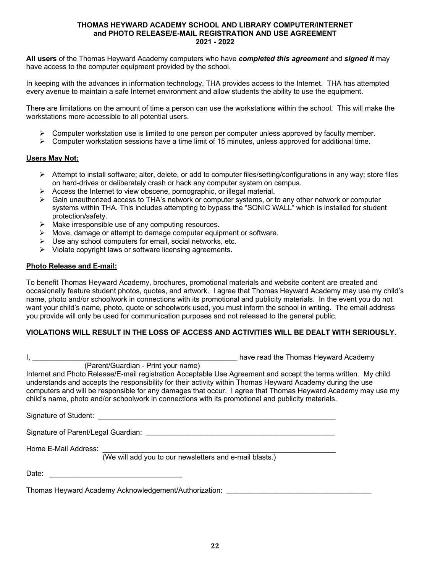#### **THOMAS HEYWARD ACADEMY SCHOOL AND LIBRARY COMPUTER/INTERNET and PHOTO RELEASE/E-MAIL REGISTRATION AND USE AGREEMENT 2021 - 2022**

**All users** of the Thomas Heyward Academy computers who have *completed this agreement* and *signed it* may have access to the computer equipment provided by the school.

In keeping with the advances in information technology, THA provides access to the Internet. THA has attempted every avenue to maintain a safe Internet environment and allow students the ability to use the equipment.

There are limitations on the amount of time a person can use the workstations within the school. This will make the workstations more accessible to all potential users.

- $\triangleright$  Computer workstation use is limited to one person per computer unless approved by faculty member.
- $\triangleright$  Computer workstation sessions have a time limit of 15 minutes, unless approved for additional time.

#### **Users May Not:**

- $\triangleright$  Attempt to install software; alter, delete, or add to computer files/setting/configurations in any way; store files on hard-drives or deliberately crash or hack any computer system on campus.
- $\triangleright$  Access the Internet to view obscene, pornographic, or illegal material.
- $\triangleright$  Gain unauthorized access to THA's network or computer systems, or to any other network or computer systems within THA. This includes attempting to bypass the "SONIC WALL" which is installed for student protection/safety.
- $\triangleright$  Make irresponsible use of any computing resources.
- $\triangleright$  Move, damage or attempt to damage computer equipment or software.
- $\triangleright$  Use any school computers for email, social networks, etc.
- $\triangleright$  Violate copyright laws or software licensing agreements.

#### **Photo Release and E-mail:**

To benefit Thomas Heyward Academy, brochures, promotional materials and website content are created and occasionally feature student photos, quotes, and artwork. I agree that Thomas Heyward Academy may use my child's name, photo and/or schoolwork in connections with its promotional and publicity materials. In the event you do not want your child's name, photo, quote or schoolwork used, you must inform the school in writing. The email address you provide will only be used for communication purposes and not released to the general public.

#### **VIOLATIONS WILL RESULT IN THE LOSS OF ACCESS AND ACTIVITIES WILL BE DEALT WITH SERIOUSLY.**

|                                     | have read the Thomas Heyward Academy<br>(Parent/Guardian - Print your name)                                                                                                                                                                                                                                                                                                                                                                        |
|-------------------------------------|----------------------------------------------------------------------------------------------------------------------------------------------------------------------------------------------------------------------------------------------------------------------------------------------------------------------------------------------------------------------------------------------------------------------------------------------------|
|                                     | Internet and Photo Release/E-mail registration Acceptable Use Agreement and accept the terms written. My child<br>understands and accepts the responsibility for their activity within Thomas Heyward Academy during the use<br>computers and will be responsible for any damages that occur. I agree that Thomas Heyward Academy may use my<br>child's name, photo and/or schoolwork in connections with its promotional and publicity materials. |
| Signature of Student:               |                                                                                                                                                                                                                                                                                                                                                                                                                                                    |
| Signature of Parent/Legal Guardian: |                                                                                                                                                                                                                                                                                                                                                                                                                                                    |
| Home E-Mail Address:                | (We will add you to our newsletters and e-mail blasts.)                                                                                                                                                                                                                                                                                                                                                                                            |
| Date:                               |                                                                                                                                                                                                                                                                                                                                                                                                                                                    |

Thomas Heyward Academy Acknowledgement/Authorization: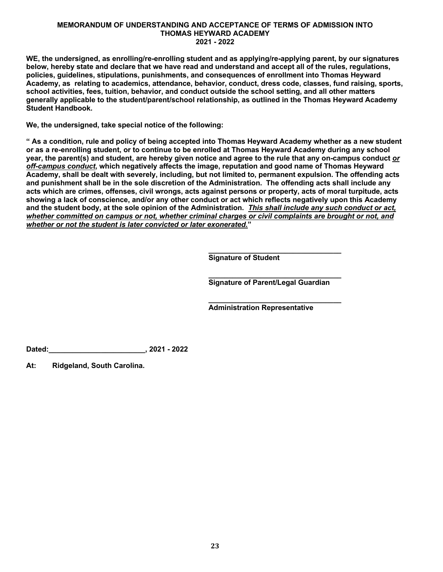#### **MEMORANDUM OF UNDERSTANDING AND ACCEPTANCE OF TERMS OF ADMISSION INTO THOMAS HEYWARD ACADEMY 2021 - 2022**

**WE, the undersigned, as enrolling/re-enrolling student and as applying/re-applying parent, by our signatures below, hereby state and declare that we have read and understand and accept all of the rules, regulations, policies, guidelines, stipulations, punishments, and consequences of enrollment into Thomas Heyward Academy, as relating to academics, attendance, behavior, conduct, dress code, classes, fund raising, sports, school activities, fees, tuition, behavior, and conduct outside the school setting, and all other matters generally applicable to the student/parent/school relationship, as outlined in the Thomas Heyward Academy Student Handbook.** 

**We, the undersigned, take special notice of the following:**

**" As a condition, rule and policy of being accepted into Thomas Heyward Academy whether as a new student or as a re-enrolling student, or to continue to be enrolled at Thomas Heyward Academy during any school year, the parent(s) and student, are hereby given notice and agree to the rule that any on-campus conduct** *or off-campus conduct***, which negatively affects the image, reputation and good name of Thomas Heyward Academy, shall be dealt with severely, including, but not limited to, permanent expulsion. The offending acts and punishment shall be in the sole discretion of the Administration. The offending acts shall include any acts which are crimes, offenses, civil wrongs, acts against persons or property, acts of moral turpitude, acts showing a lack of conscience, and/or any other conduct or act which reflects negatively upon this Academy and the student body, at the sole opinion of the Administration.** *This shall include any such conduct or act, whether committed on campus or not, whether criminal charges or civil complaints are brought or not, and whether or not the student is later convicted or later exonerated.***"** 

> **\_\_\_\_\_\_\_\_\_\_\_\_\_\_\_\_\_\_\_\_\_\_\_\_\_\_\_\_\_\_\_\_\_ Signature of Student**

> **\_\_\_\_\_\_\_\_\_\_\_\_\_\_\_\_\_\_\_\_\_\_\_\_\_\_\_\_\_\_\_\_\_ Signature of Parent/Legal Guardian**

> **\_\_\_\_\_\_\_\_\_\_\_\_\_\_\_\_\_\_\_\_\_\_\_\_\_\_\_\_\_\_\_\_\_**

**Administration Representative**

**Dated:\_\_\_\_\_\_\_\_\_\_\_\_\_\_\_\_\_\_\_\_\_\_\_\_, 2021 - 2022**

**At: Ridgeland, South Carolina.**